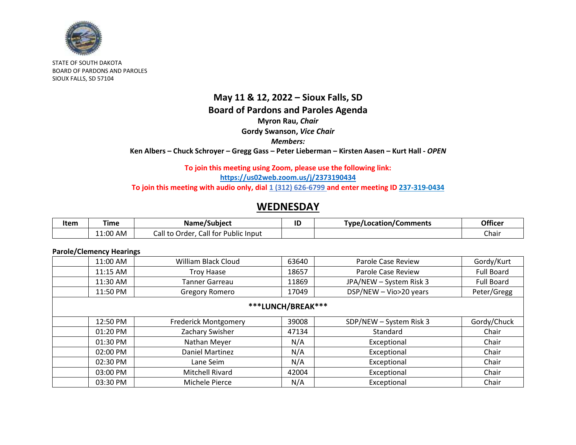

STATE OF SOUTH DAKOTA BOARD OF PARDONS AND PAROLES SIOUX FALLS, SD 57104

### **May 11 & 12, 2022 – Sioux Falls, SD Board of Pardons and Paroles Agenda Myron Rau,** *Chair* **Gordy Swanson,** *Vice Chair Members:* **Ken Albers – Chuck Schroyer – Gregg Gass – Peter Lieberman – Kirsten Aasen – Kurt Hall -** *OPEN*

#### **To join this meeting using Zoom, please use the following link: <https://us02web.zoom.us/j/2373190434>** To join this meeting with audio only, dial 1 (312) 626-6799 and enter meeting ID 237-319-0434

## **WEDNESDAY**

| Item | ⊺ime     | Name/Subject                               | ID | Type/Location/Comments | Officer |
|------|----------|--------------------------------------------|----|------------------------|---------|
|      | 11:00 AM | Call for Public Input<br>-all trب<br>Order |    |                        | Chair   |

#### **Parole/Clemency Hearings**

| William Black Cloud         | 63640 | Parole Case Review      | Gordy/Kurt        |  |  |
|-----------------------------|-------|-------------------------|-------------------|--|--|
| <b>Troy Haase</b>           | 18657 | Parole Case Review      | <b>Full Board</b> |  |  |
| Tanner Garreau              | 11869 | JPA/NEW - System Risk 3 | <b>Full Board</b> |  |  |
| <b>Gregory Romero</b>       | 17049 | DSP/NEW - Vio>20 years  | Peter/Gregg       |  |  |
| ***LUNCH/BREAK***           |       |                         |                   |  |  |
| <b>Frederick Montgomery</b> | 39008 | SDP/NEW - System Risk 3 | Gordy/Chuck       |  |  |
| Zachary Swisher             | 47134 | Standard                | Chair             |  |  |
| Nathan Meyer                | N/A   | Exceptional             | Chair             |  |  |
| <b>Daniel Martinez</b>      | N/A   | Exceptional             | Chair             |  |  |
| Lane Seim                   | N/A   | Exceptional             | Chair             |  |  |
| <b>Mitchell Rivard</b>      | 42004 | Exceptional             | Chair             |  |  |
| Michele Pierce              | N/A   | Exceptional             | Chair             |  |  |
|                             |       |                         |                   |  |  |